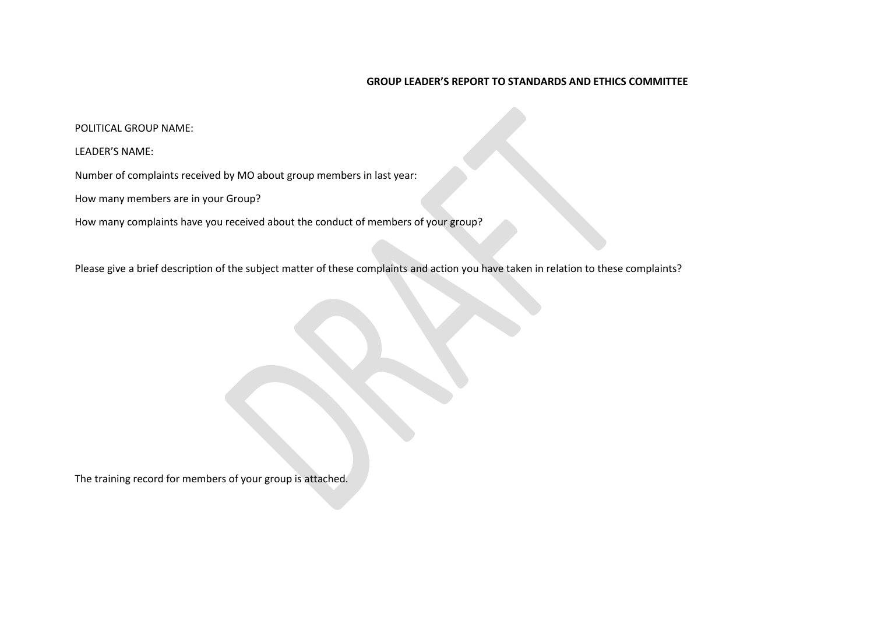## **GROUP LEADER'S REPORT TO STANDARDS AND ETHICS COMMITTEE**

## POLITICAL GROUP NAME:

## LEADER'S NAME:

Number of complaints received by MO about group members in last year:

How many members are in your Group?

How many complaints have you received about the conduct of members of your group?

Please give a brief description of the subject matter of these complaints and action you have taken in relation to these complaints?

The training record for members of your group is attached.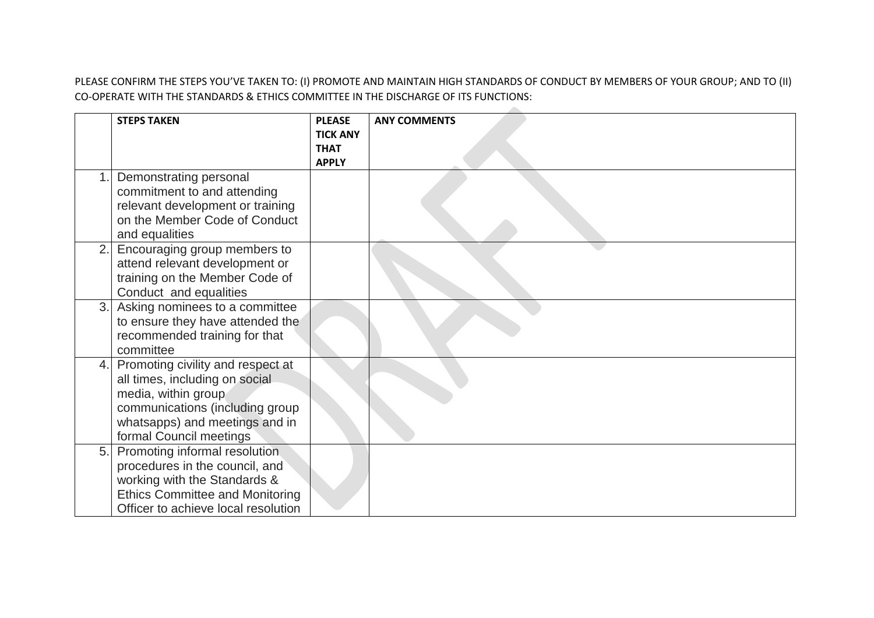PLEASE CONFIRM THE STEPS YOU'VE TAKEN TO: (I) PROMOTE AND MAINTAIN HIGH STANDARDS OF CONDUCT BY MEMBERS OF YOUR GROUP; AND TO (II) CO-OPERATE WITH THE STANDARDS & ETHICS COMMITTEE IN THE DISCHARGE OF ITS FUNCTIONS:

|     | <b>STEPS TAKEN</b>                                                                                                                                                                         | <b>PLEASE</b><br><b>TICK ANY</b><br><b>THAT</b><br><b>APPLY</b> | <b>ANY COMMENTS</b> |
|-----|--------------------------------------------------------------------------------------------------------------------------------------------------------------------------------------------|-----------------------------------------------------------------|---------------------|
|     | Demonstrating personal<br>commitment to and attending<br>relevant development or training<br>on the Member Code of Conduct<br>and equalities                                               |                                                                 |                     |
| 2.1 | Encouraging group members to<br>attend relevant development or<br>training on the Member Code of<br>Conduct and equalities                                                                 |                                                                 |                     |
| 3.  | Asking nominees to a committee<br>to ensure they have attended the<br>recommended training for that<br>committee                                                                           |                                                                 |                     |
| 4.1 | Promoting civility and respect at<br>all times, including on social<br>media, within group<br>communications (including group<br>whatsapps) and meetings and in<br>formal Council meetings |                                                                 |                     |
| 5.  | Promoting informal resolution<br>procedures in the council, and<br>working with the Standards &<br><b>Ethics Committee and Monitoring</b><br>Officer to achieve local resolution           |                                                                 |                     |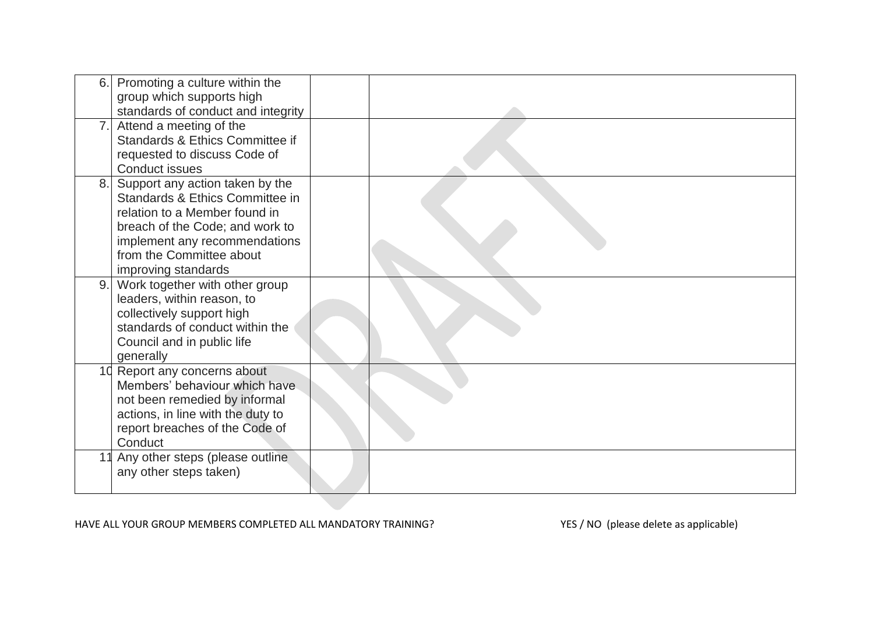| 6.1 | Promoting a culture within the<br>group which supports high<br>standards of conduct and integrity                                                                                                                          |  |
|-----|----------------------------------------------------------------------------------------------------------------------------------------------------------------------------------------------------------------------------|--|
| 7.1 | Attend a meeting of the<br>Standards & Ethics Committee if<br>requested to discuss Code of<br><b>Conduct issues</b>                                                                                                        |  |
| 8.1 | Support any action taken by the<br>Standards & Ethics Committee in<br>relation to a Member found in<br>breach of the Code; and work to<br>implement any recommendations<br>from the Committee about<br>improving standards |  |
| 9.1 | Work together with other group<br>leaders, within reason, to<br>collectively support high<br>standards of conduct within the<br>Council and in public life<br>generally                                                    |  |
|     | 10 Report any concerns about<br>Members' behaviour which have<br>not been remedied by informal<br>actions, in line with the duty to<br>report breaches of the Code of<br>Conduct                                           |  |
|     | Any other steps (please outline<br>any other steps taken)                                                                                                                                                                  |  |

HAVE ALL YOUR GROUP MEMBERS COMPLETED ALL MANDATORY TRAINING? YES / NO (please delete as applicable)